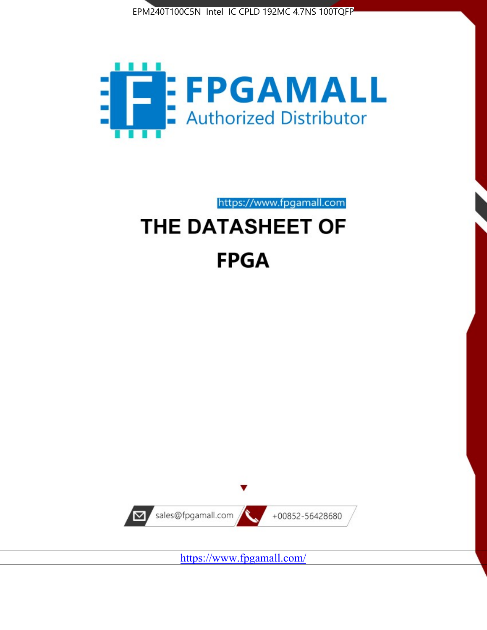



https://www.fpgamall.com

# THE DATASHEET OF **FPGA**



https://www.fpgamall.com/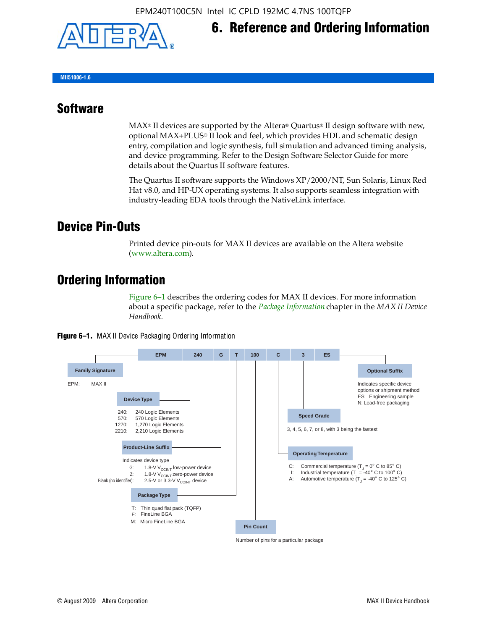

## **6. Reference and Ordering Information**

**MII51006-1.6**

#### **Software**

 $MAX<sup>®</sup>$  II devices are supported by the Altera® Quartus<sup>®</sup> II design software with new, optional MAX+PLUS® II look and feel, which provides HDL and schematic design entry, compilation and logic synthesis, full simulation and advanced timing analysis, and device programming. Refer to the Design Software Selector Guide for more details about the Quartus II software features.

The Quartus II software supports the Windows XP/2000/NT, Sun Solaris, Linux Red Hat v8.0, and HP-UX operating systems. It also supports seamless integration with industry-leading EDA tools through the NativeLink interface.

#### **Device Pin-Outs**

Printed device pin-outs for MAX II devices are available on the Altera website ([www.altera.com](http://www.altera.com/)).

#### **Ordering Information**

Figure 6–1 describes the ordering codes for MAX II devices. For more information about a specific package, refer to the *[Package Information](http://www.altera.com/literature/hb/max2/max2_mii51007.pdf)* chapter in the *MAX II Device Handbook*.



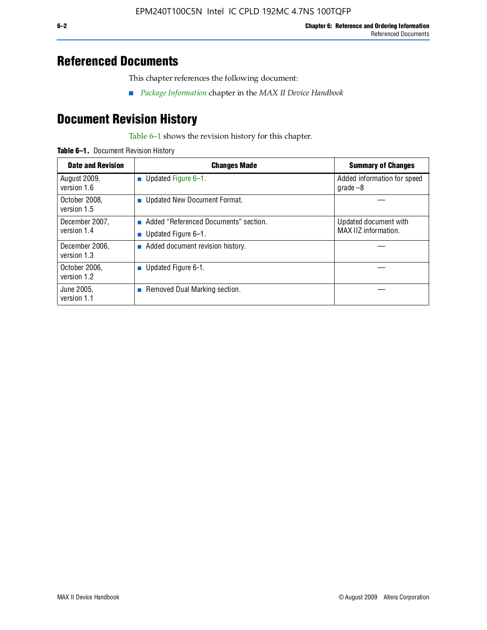#### **Referenced Documents**

This chapter references the following document:

■ *[Package Information](http://www.altera.com/literature/hb/max2/max2_mii51007.pdf)* chapter in the *MAX II Device Handbook*

## **Document Revision History**

Table 6–1 shows the revision history for this chapter.

| Table 6-1. Document Revision History |
|--------------------------------------|
|                                      |

| <b>Date and Revision</b>      | <b>Changes Made</b>                                          | <b>Summary of Changes</b>                     |
|-------------------------------|--------------------------------------------------------------|-----------------------------------------------|
| August 2009,<br>version 1.6   | Updated Figure 6-1.<br>п                                     | Added information for speed<br>grade $-8$     |
| October 2008,<br>version 1.5  | Updated New Document Format.                                 |                                               |
| December 2007,<br>version 1.4 | Added "Referenced Documents" section.<br>Updated Figure 6-1. | Updated document with<br>MAX IIZ information. |
| December 2006,<br>version 1.3 | Added document revision history.                             |                                               |
| October 2006.<br>version 1.2  | Updated Figure 6-1.                                          |                                               |
| June 2005.<br>version 1.1     | $\blacksquare$ Removed Dual Marking section.                 |                                               |